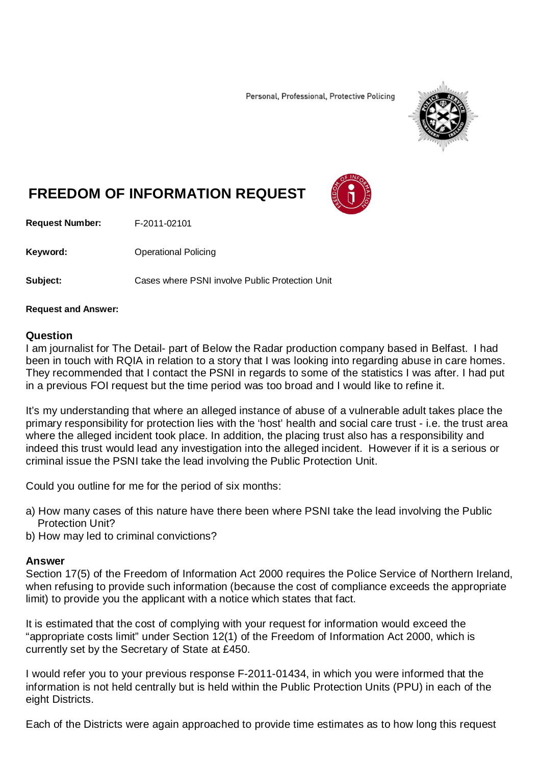Personal, Professional, Protective Policing



## **FREEDOM OF INFORMATION REQUEST**

**Request Number:** F-2011-02101

Keyword: **Calcular Contract Contract Contract Contract Contract Contract Contract Contract Contract Contract Contract Contract Contract Contract Contract Contract Contract Contract Contract Contract Contract Contract Contr** 

**Subject:** Cases where PSNI involve Public Protection Unit

## **Request and Answer:**

## **Question**

I am journalist for The Detail- part of Below the Radar production company based in Belfast. I had been in touch with RQIA in relation to a story that I was looking into regarding abuse in care homes. They recommended that I contact the PSNI in regards to some of the statistics I was after. I had put in a previous FOI request but the time period was too broad and I would like to refine it.

It's my understanding that where an alleged instance of abuse of a vulnerable adult takes place the primary responsibility for protection lies with the 'host' health and social care trust - i.e. the trust area where the alleged incident took place. In addition, the placing trust also has a responsibility and indeed this trust would lead any investigation into the alleged incident. However if it is a serious or criminal issue the PSNI take the lead involving the Public Protection Unit.

Could you outline for me for the period of six months:

- a) How many cases of this nature have there been where PSNI take the lead involving the Public Protection Unit?
- b) How may led to criminal convictions?

## **Answer**

Section 17(5) of the Freedom of Information Act 2000 requires the Police Service of Northern Ireland, when refusing to provide such information (because the cost of compliance exceeds the appropriate limit) to provide you the applicant with a notice which states that fact.

It is estimated that the cost of complying with your request for information would exceed the "appropriate costs limit" under Section 12(1) of the Freedom of Information Act 2000, which is currently set by the Secretary of State at £450.

I would refer you to your previous response F-2011-01434, in which you were informed that the information is not held centrally but is held within the Public Protection Units (PPU) in each of the eight Districts.

Each of the Districts were again approached to provide time estimates as to how long this request